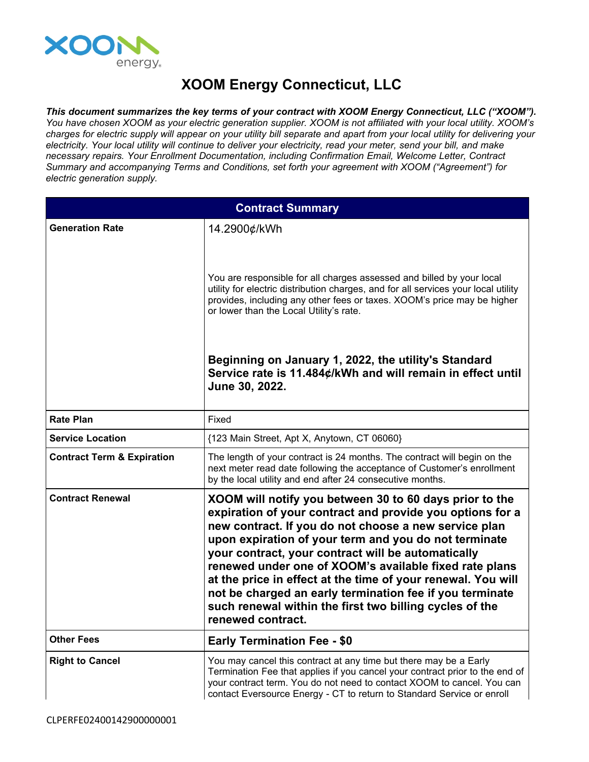

## **XOOM Energy Connecticut, LLC**

*This document summarizes the key terms of your contract with XOOM Energy Connecticut, LLC ("XOOM").* You have chosen XOOM as your electric generation supplier. XOOM is not affiliated with your local utility. XOOM's charges for electric supply will appear on your utility bill separate and apart from your local utility for delivering your electricity. Your local utility will continue to deliver your electricity, read your meter, send your bill, and make *necessary repairs. Your Enrollment Documentation, including Confirmation Email, Welcome Letter, Contract Summary and accompanying Terms and Conditions, set forth your agreement with XOOM ("Agreement") for electric generation supply.*

| <b>Contract Summary</b>               |                                                                                                                                                                                                                                                                                                                                                                                                                                                                                                                                                                    |
|---------------------------------------|--------------------------------------------------------------------------------------------------------------------------------------------------------------------------------------------------------------------------------------------------------------------------------------------------------------------------------------------------------------------------------------------------------------------------------------------------------------------------------------------------------------------------------------------------------------------|
| <b>Generation Rate</b>                | 14.2900¢/kWh                                                                                                                                                                                                                                                                                                                                                                                                                                                                                                                                                       |
|                                       | You are responsible for all charges assessed and billed by your local<br>utility for electric distribution charges, and for all services your local utility<br>provides, including any other fees or taxes. XOOM's price may be higher<br>or lower than the Local Utility's rate.                                                                                                                                                                                                                                                                                  |
|                                       | Beginning on January 1, 2022, the utility's Standard<br>Service rate is 11.484¢/kWh and will remain in effect until<br>June 30, 2022.                                                                                                                                                                                                                                                                                                                                                                                                                              |
| <b>Rate Plan</b>                      | Fixed                                                                                                                                                                                                                                                                                                                                                                                                                                                                                                                                                              |
| <b>Service Location</b>               | {123 Main Street, Apt X, Anytown, CT 06060}                                                                                                                                                                                                                                                                                                                                                                                                                                                                                                                        |
| <b>Contract Term &amp; Expiration</b> | The length of your contract is 24 months. The contract will begin on the<br>next meter read date following the acceptance of Customer's enrollment<br>by the local utility and end after 24 consecutive months.                                                                                                                                                                                                                                                                                                                                                    |
| <b>Contract Renewal</b>               | XOOM will notify you between 30 to 60 days prior to the<br>expiration of your contract and provide you options for a<br>new contract. If you do not choose a new service plan<br>upon expiration of your term and you do not terminate<br>your contract, your contract will be automatically<br>renewed under one of XOOM's available fixed rate plans<br>at the price in effect at the time of your renewal. You will<br>not be charged an early termination fee if you terminate<br>such renewal within the first two billing cycles of the<br>renewed contract. |
| <b>Other Fees</b>                     | <b>Early Termination Fee - \$0</b>                                                                                                                                                                                                                                                                                                                                                                                                                                                                                                                                 |
| <b>Right to Cancel</b>                | You may cancel this contract at any time but there may be a Early<br>Termination Fee that applies if you cancel your contract prior to the end of<br>your contract term. You do not need to contact XOOM to cancel. You can<br>contact Eversource Energy - CT to return to Standard Service or enroll                                                                                                                                                                                                                                                              |